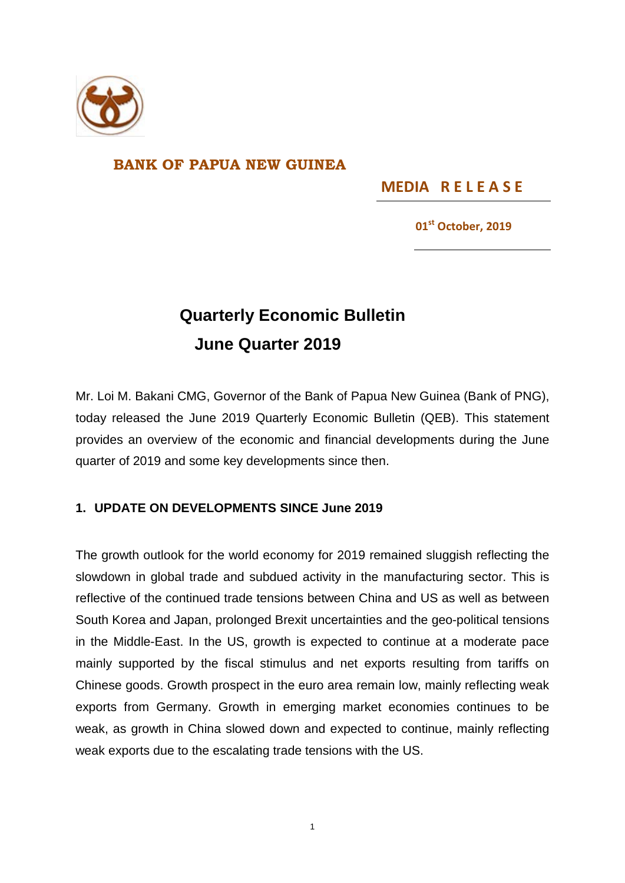

## **BANK OF PAPUA NEW GUINEA**

**MEDIA R E L E A S E** 

**01st October, 2019**

## **Quarterly Economic Bulletin June Quarter 2019**

Mr. Loi M. Bakani CMG, Governor of the Bank of Papua New Guinea (Bank of PNG), today released the June 2019 Quarterly Economic Bulletin (QEB). This statement provides an overview of the economic and financial developments during the June quarter of 2019 and some key developments since then.

## **1. UPDATE ON DEVELOPMENTS SINCE June 2019**

The growth outlook for the world economy for 2019 remained sluggish reflecting the slowdown in global trade and subdued activity in the manufacturing sector. This is reflective of the continued trade tensions between China and US as well as between South Korea and Japan, prolonged Brexit uncertainties and the geo-political tensions in the Middle-East. In the US, growth is expected to continue at a moderate pace mainly supported by the fiscal stimulus and net exports resulting from tariffs on Chinese goods. Growth prospect in the euro area remain low, mainly reflecting weak exports from Germany. Growth in emerging market economies continues to be weak, as growth in China slowed down and expected to continue, mainly reflecting weak exports due to the escalating trade tensions with the US.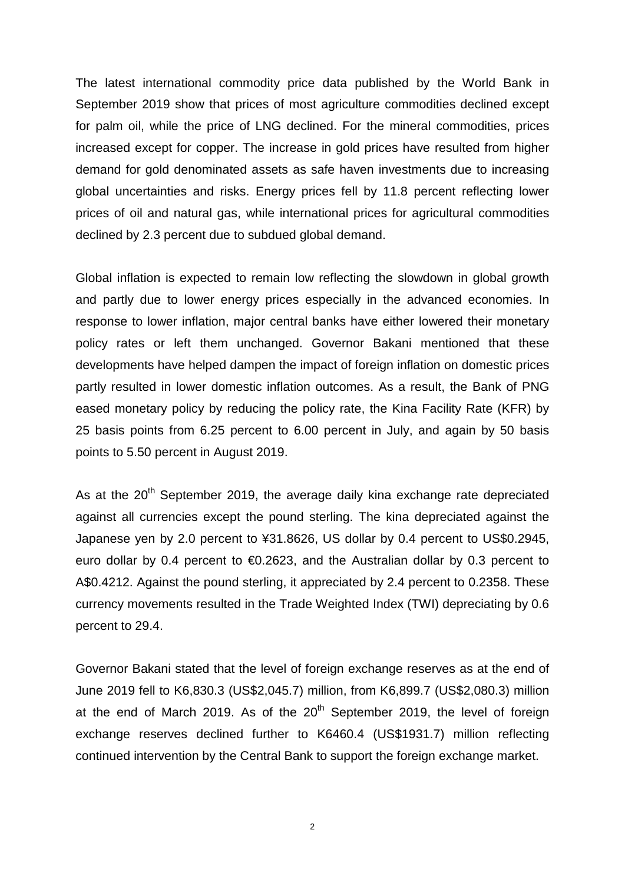The latest international commodity price data published by the World Bank in September 2019 show that prices of most agriculture commodities declined except for palm oil, while the price of LNG declined. For the mineral commodities, prices increased except for copper. The increase in gold prices have resulted from higher demand for gold denominated assets as safe haven investments due to increasing global uncertainties and risks. Energy prices fell by 11.8 percent reflecting lower prices of oil and natural gas, while international prices for agricultural commodities declined by 2.3 percent due to subdued global demand.

Global inflation is expected to remain low reflecting the slowdown in global growth and partly due to lower energy prices especially in the advanced economies. In response to lower inflation, major central banks have either lowered their monetary policy rates or left them unchanged. Governor Bakani mentioned that these developments have helped dampen the impact of foreign inflation on domestic prices partly resulted in lower domestic inflation outcomes. As a result, the Bank of PNG eased monetary policy by reducing the policy rate, the Kina Facility Rate (KFR) by 25 basis points from 6.25 percent to 6.00 percent in July, and again by 50 basis points to 5.50 percent in August 2019.

As at the  $20<sup>th</sup>$  September 2019, the average daily kina exchange rate depreciated against all currencies except the pound sterling. The kina depreciated against the Japanese yen by 2.0 percent to ¥31.8626, US dollar by 0.4 percent to US\$0.2945, euro dollar by 0.4 percent to €0.2623, and the Australian dollar by 0.3 percent to A\$0.4212. Against the pound sterling, it appreciated by 2.4 percent to 0.2358. These currency movements resulted in the Trade Weighted Index (TWI) depreciating by 0.6 percent to 29.4.

Governor Bakani stated that the level of foreign exchange reserves as at the end of June 2019 fell to K6,830.3 (US\$2,045.7) million, from K6,899.7 (US\$2,080.3) million at the end of March 2019. As of the  $20<sup>th</sup>$  September 2019, the level of foreign exchange reserves declined further to K6460.4 (US\$1931.7) million reflecting continued intervention by the Central Bank to support the foreign exchange market.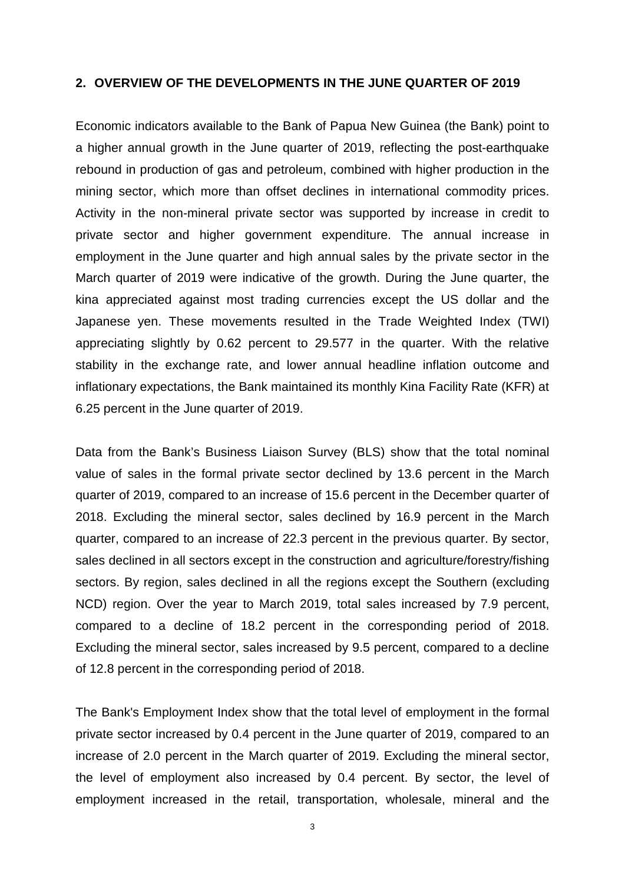## **2. OVERVIEW OF THE DEVELOPMENTS IN THE JUNE QUARTER OF 2019**

Economic indicators available to the Bank of Papua New Guinea (the Bank) point to a higher annual growth in the June quarter of 2019, reflecting the post-earthquake rebound in production of gas and petroleum, combined with higher production in the mining sector, which more than offset declines in international commodity prices. Activity in the non-mineral private sector was supported by increase in credit to private sector and higher government expenditure. The annual increase in employment in the June quarter and high annual sales by the private sector in the March quarter of 2019 were indicative of the growth. During the June quarter, the kina appreciated against most trading currencies except the US dollar and the Japanese yen. These movements resulted in the Trade Weighted Index (TWI) appreciating slightly by 0.62 percent to 29.577 in the quarter. With the relative stability in the exchange rate, and lower annual headline inflation outcome and inflationary expectations, the Bank maintained its monthly Kina Facility Rate (KFR) at 6.25 percent in the June quarter of 2019.

Data from the Bank's Business Liaison Survey (BLS) show that the total nominal value of sales in the formal private sector declined by 13.6 percent in the March quarter of 2019, compared to an increase of 15.6 percent in the December quarter of 2018. Excluding the mineral sector, sales declined by 16.9 percent in the March quarter, compared to an increase of 22.3 percent in the previous quarter. By sector, sales declined in all sectors except in the construction and agriculture/forestry/fishing sectors. By region, sales declined in all the regions except the Southern (excluding NCD) region. Over the year to March 2019, total sales increased by 7.9 percent, compared to a decline of 18.2 percent in the corresponding period of 2018. Excluding the mineral sector, sales increased by 9.5 percent, compared to a decline of 12.8 percent in the corresponding period of 2018.

The Bank's Employment Index show that the total level of employment in the formal private sector increased by 0.4 percent in the June quarter of 2019, compared to an increase of 2.0 percent in the March quarter of 2019. Excluding the mineral sector, the level of employment also increased by 0.4 percent. By sector, the level of employment increased in the retail, transportation, wholesale, mineral and the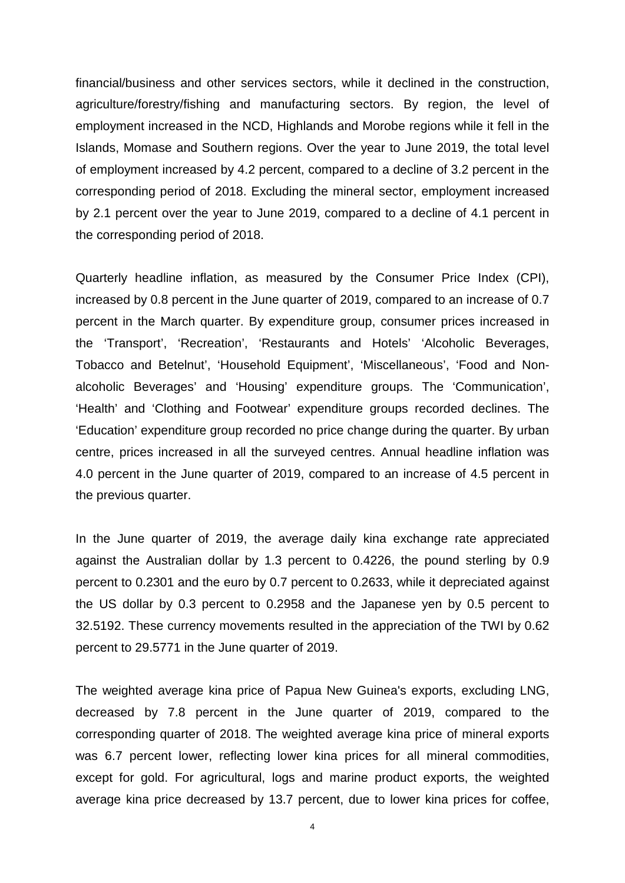financial/business and other services sectors, while it declined in the construction, agriculture/forestry/fishing and manufacturing sectors. By region, the level of employment increased in the NCD, Highlands and Morobe regions while it fell in the Islands, Momase and Southern regions. Over the year to June 2019, the total level of employment increased by 4.2 percent, compared to a decline of 3.2 percent in the corresponding period of 2018. Excluding the mineral sector, employment increased by 2.1 percent over the year to June 2019, compared to a decline of 4.1 percent in the corresponding period of 2018.

Quarterly headline inflation, as measured by the Consumer Price Index (CPI), increased by 0.8 percent in the June quarter of 2019, compared to an increase of 0.7 percent in the March quarter. By expenditure group, consumer prices increased in the 'Transport', 'Recreation', 'Restaurants and Hotels' 'Alcoholic Beverages, Tobacco and Betelnut', 'Household Equipment', 'Miscellaneous', 'Food and Nonalcoholic Beverages' and 'Housing' expenditure groups. The 'Communication', 'Health' and 'Clothing and Footwear' expenditure groups recorded declines. The 'Education' expenditure group recorded no price change during the quarter. By urban centre, prices increased in all the surveyed centres. Annual headline inflation was 4.0 percent in the June quarter of 2019, compared to an increase of 4.5 percent in the previous quarter.

In the June quarter of 2019, the average daily kina exchange rate appreciated against the Australian dollar by 1.3 percent to 0.4226, the pound sterling by 0.9 percent to 0.2301 and the euro by 0.7 percent to 0.2633, while it depreciated against the US dollar by 0.3 percent to 0.2958 and the Japanese yen by 0.5 percent to 32.5192. These currency movements resulted in the appreciation of the TWI by 0.62 percent to 29.5771 in the June quarter of 2019.

The weighted average kina price of Papua New Guinea's exports, excluding LNG, decreased by 7.8 percent in the June quarter of 2019, compared to the corresponding quarter of 2018. The weighted average kina price of mineral exports was 6.7 percent lower, reflecting lower kina prices for all mineral commodities, except for gold. For agricultural, logs and marine product exports, the weighted average kina price decreased by 13.7 percent, due to lower kina prices for coffee,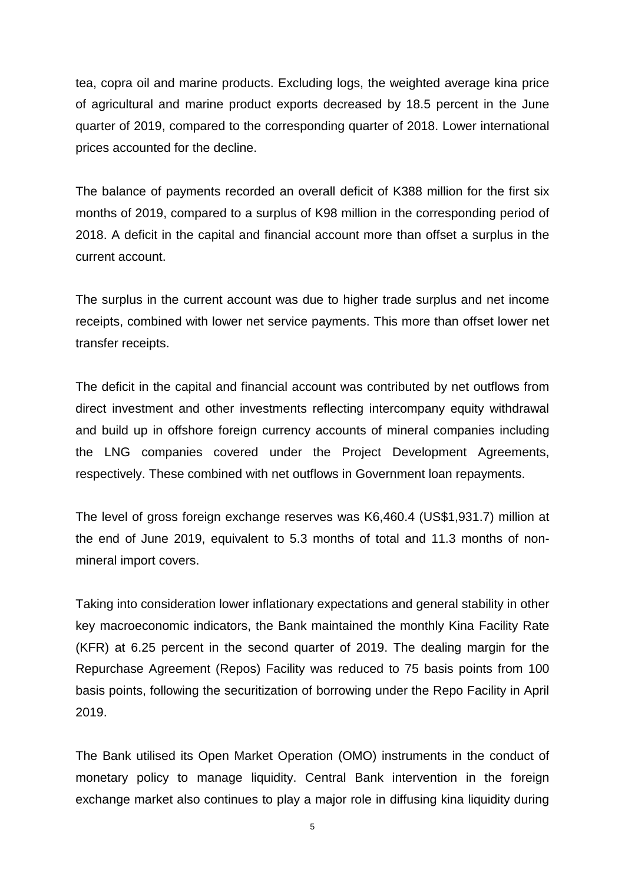tea, copra oil and marine products. Excluding logs, the weighted average kina price of agricultural and marine product exports decreased by 18.5 percent in the June quarter of 2019, compared to the corresponding quarter of 2018. Lower international prices accounted for the decline.

The balance of payments recorded an overall deficit of K388 million for the first six months of 2019, compared to a surplus of K98 million in the corresponding period of 2018. A deficit in the capital and financial account more than offset a surplus in the current account.

The surplus in the current account was due to higher trade surplus and net income receipts, combined with lower net service payments. This more than offset lower net transfer receipts.

The deficit in the capital and financial account was contributed by net outflows from direct investment and other investments reflecting intercompany equity withdrawal and build up in offshore foreign currency accounts of mineral companies including the LNG companies covered under the Project Development Agreements, respectively. These combined with net outflows in Government loan repayments.

The level of gross foreign exchange reserves was K6,460.4 (US\$1,931.7) million at the end of June 2019, equivalent to 5.3 months of total and 11.3 months of nonmineral import covers.

Taking into consideration lower inflationary expectations and general stability in other key macroeconomic indicators, the Bank maintained the monthly Kina Facility Rate (KFR) at 6.25 percent in the second quarter of 2019. The dealing margin for the Repurchase Agreement (Repos) Facility was reduced to 75 basis points from 100 basis points, following the securitization of borrowing under the Repo Facility in April 2019.

The Bank utilised its Open Market Operation (OMO) instruments in the conduct of monetary policy to manage liquidity. Central Bank intervention in the foreign exchange market also continues to play a major role in diffusing kina liquidity during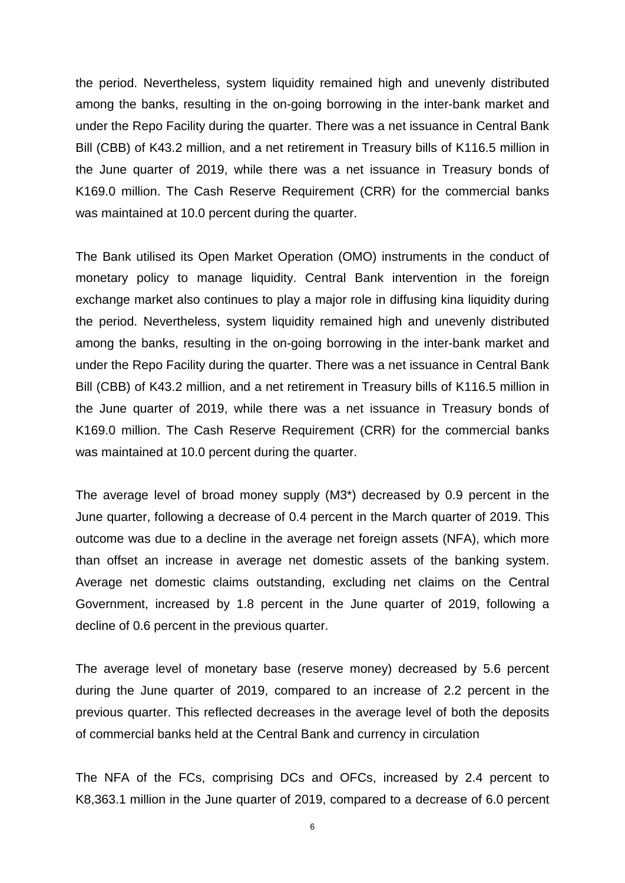the period. Nevertheless, system liquidity remained high and unevenly distributed among the banks, resulting in the on-going borrowing in the inter-bank market and under the Repo Facility during the quarter. There was a net issuance in Central Bank Bill (CBB) of K43.2 million, and a net retirement in Treasury bills of K116.5 million in the June quarter of 2019, while there was a net issuance in Treasury bonds of K169.0 million. The Cash Reserve Requirement (CRR) for the commercial banks was maintained at 10.0 percent during the quarter.

The Bank utilised its Open Market Operation (OMO) instruments in the conduct of monetary policy to manage liquidity. Central Bank intervention in the foreign exchange market also continues to play a major role in diffusing kina liquidity during the period. Nevertheless, system liquidity remained high and unevenly distributed among the banks, resulting in the on-going borrowing in the inter-bank market and under the Repo Facility during the quarter. There was a net issuance in Central Bank Bill (CBB) of K43.2 million, and a net retirement in Treasury bills of K116.5 million in the June quarter of 2019, while there was a net issuance in Treasury bonds of K169.0 million. The Cash Reserve Requirement (CRR) for the commercial banks was maintained at 10.0 percent during the quarter.

The average level of broad money supply (M3\*) decreased by 0.9 percent in the June quarter, following a decrease of 0.4 percent in the March quarter of 2019. This outcome was due to a decline in the average net foreign assets (NFA), which more than offset an increase in average net domestic assets of the banking system. Average net domestic claims outstanding, excluding net claims on the Central Government, increased by 1.8 percent in the June quarter of 2019, following a decline of 0.6 percent in the previous quarter.

The average level of monetary base (reserve money) decreased by 5.6 percent during the June quarter of 2019, compared to an increase of 2.2 percent in the previous quarter. This reflected decreases in the average level of both the deposits of commercial banks held at the Central Bank and currency in circulation

The NFA of the FCs, comprising DCs and OFCs, increased by 2.4 percent to K8,363.1 million in the June quarter of 2019, compared to a decrease of 6.0 percent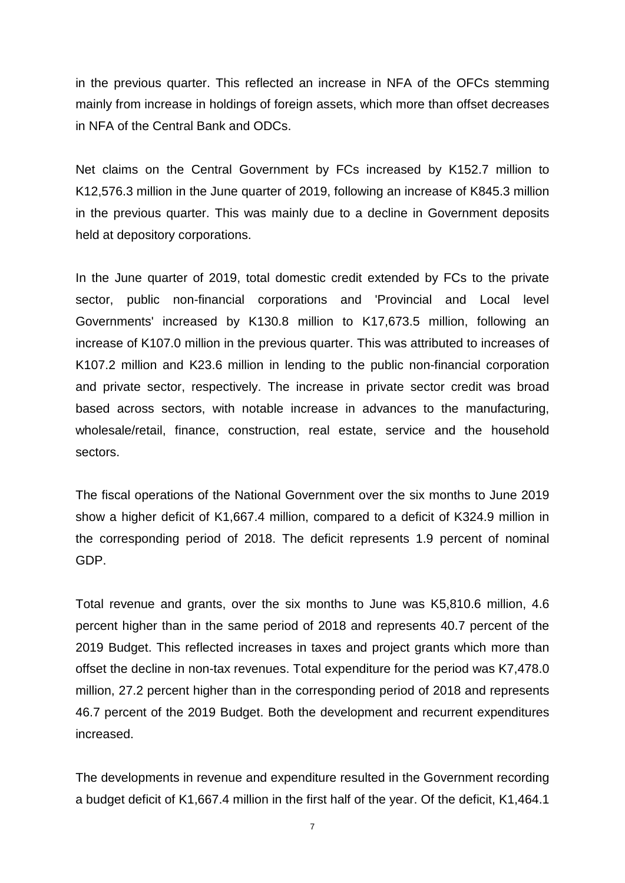in the previous quarter. This reflected an increase in NFA of the OFCs stemming mainly from increase in holdings of foreign assets, which more than offset decreases in NFA of the Central Bank and ODCs.

Net claims on the Central Government by FCs increased by K152.7 million to K12,576.3 million in the June quarter of 2019, following an increase of K845.3 million in the previous quarter. This was mainly due to a decline in Government deposits held at depository corporations.

In the June quarter of 2019, total domestic credit extended by FCs to the private sector, public non-financial corporations and 'Provincial and Local level Governments' increased by K130.8 million to K17,673.5 million, following an increase of K107.0 million in the previous quarter. This was attributed to increases of K107.2 million and K23.6 million in lending to the public non-financial corporation and private sector, respectively. The increase in private sector credit was broad based across sectors, with notable increase in advances to the manufacturing, wholesale/retail, finance, construction, real estate, service and the household sectors.

The fiscal operations of the National Government over the six months to June 2019 show a higher deficit of K1,667.4 million, compared to a deficit of K324.9 million in the corresponding period of 2018. The deficit represents 1.9 percent of nominal GDP.

Total revenue and grants, over the six months to June was K5,810.6 million, 4.6 percent higher than in the same period of 2018 and represents 40.7 percent of the 2019 Budget. This reflected increases in taxes and project grants which more than offset the decline in non-tax revenues. Total expenditure for the period was K7,478.0 million, 27.2 percent higher than in the corresponding period of 2018 and represents 46.7 percent of the 2019 Budget. Both the development and recurrent expenditures increased.

The developments in revenue and expenditure resulted in the Government recording a budget deficit of K1,667.4 million in the first half of the year. Of the deficit, K1,464.1